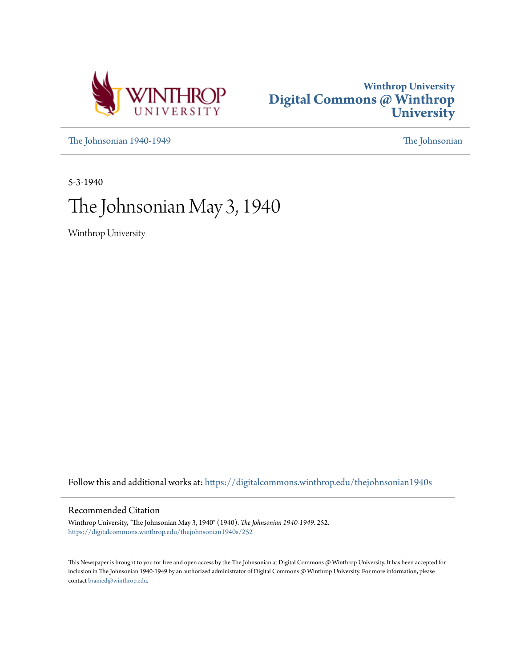



[The Johnsonian 1940-1949](https://digitalcommons.winthrop.edu/thejohnsonian1940s?utm_source=digitalcommons.winthrop.edu%2Fthejohnsonian1940s%2F252&utm_medium=PDF&utm_campaign=PDFCoverPages) [The Johnsonian](https://digitalcommons.winthrop.edu/thejohnsonian_newspaper?utm_source=digitalcommons.winthrop.edu%2Fthejohnsonian1940s%2F252&utm_medium=PDF&utm_campaign=PDFCoverPages)

5-3-1940

# The Johnsonian May 3, 1940

Winthrop University

Follow this and additional works at: [https://digitalcommons.winthrop.edu/thejohnsonian1940s](https://digitalcommons.winthrop.edu/thejohnsonian1940s?utm_source=digitalcommons.winthrop.edu%2Fthejohnsonian1940s%2F252&utm_medium=PDF&utm_campaign=PDFCoverPages)

# Recommended Citation

Winthrop University, "The Johnsonian May 3, 1940" (1940). *The Johnsonian 1940-1949*. 252. [https://digitalcommons.winthrop.edu/thejohnsonian1940s/252](https://digitalcommons.winthrop.edu/thejohnsonian1940s/252?utm_source=digitalcommons.winthrop.edu%2Fthejohnsonian1940s%2F252&utm_medium=PDF&utm_campaign=PDFCoverPages)

This Newspaper is brought to you for free and open access by the The Johnsonian at Digital Commons @ Winthrop University. It has been accepted for inclusion in The Johnsonian 1940-1949 by an authorized administrator of Digital Commons @ Winthrop University. For more information, please contact [bramed@winthrop.edu](mailto:bramed@winthrop.edu).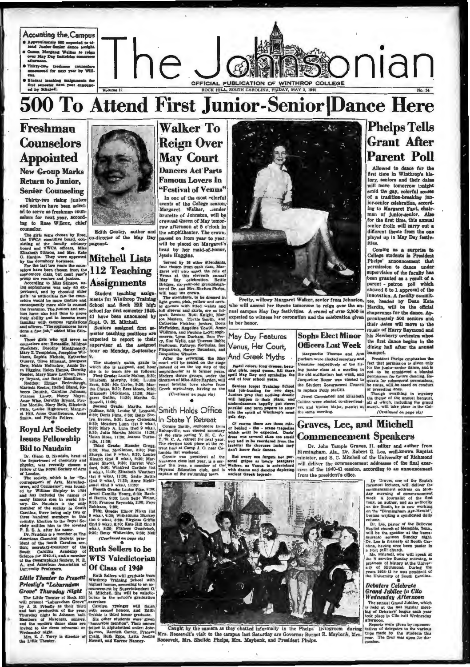

# **500 To Attend First Junior-Senior Dance Here**

# Freshman **Counselors Appointed New Group Marks**

**Return to Junior, Senior Counseling** 

Thirty-two rising juniors and seniors have been selected to serve as freshman counselors for next year, according to Rose Willcox, chief -lor.

The girls were chosen by Robin Philip YWCA executive board, containing of the faculty advisory

in a cycle of the fact the cycle of the May Day<br>the YVCA executive board, con-<br>co-director of the May Day<br>board and YVCA officers, Miss<br>board and YVCA officers, Miss<br> $\frac{1}{2}$ <br> $\frac{1}{2}$ <br> $\frac{1}{2}$ <br> $\frac{1}{2}$ <br> $\frac{1}{2}$ <br> $\frac{1$ 

son, mes gris who will serve a septected to report to their considers connected a server to the assigned connection and the performance of the assigned Mary E. Translate, Northern Mary E. Translate Mary E. Translate Mary E

ey Zeynat, and Betty Hamilton, Naturelland, Rangeley, Elmina Bedenbaugh, Research Steed Bland, Research Steep News, Naturelland, Research Anne Wisc, Dentyle, Naturelland, Anne Wisc, Dentyle, Richard Highlower, Naturelland,

Frances Lancy, Nancy Mayes, Elate Chelinon, 11:36; Mars And Anne Meth, David Brownl, 11:36; Similar Similar, and Phyllis, Similar Similar, and Phyllis, Similar and the second of the second of the second of the second of t



Edith Gentry, auth o-director of the May Day

Student teaching assignments for Winthrop Training<br>School and Rock Hill high school for drat semester 1940ced by

Seniors assigned first senere teaching positions are

The student's name, grade to which the is assigned and hours.<br>The student and hours in the studies of the studies of the studies of the<br>Simbon S320, Halley S120, the S120, Marson S320, Louise S200, the<br>studies of the Glau

# **Walker To Reign Over May Court Dancers Act Parts Famous Lovers In**

"Festival of Venus" In one of the most colorful events of the College season. Margaret Walker, .iender Margaret Walker, Liender<br>brunette of Johnston, will be crowned Queen of May tomor row afternoon at 5 o'clock in the amphitheater. The crown, the ampiriture and recover, the crown,<br>passed on from year to year,<br>will be placed on Margaret's<br>head by her maid-of-honor,<br>Jeasie Huggins.

lead by ner mata-of-nonur,<br>
lead by the charged mata-of-nonur,<br>
served by it other attendants,<br>
four chosen from each class, Mar-<br>
served will also enact the role of<br>
Yerous at this elevation. Bettle<br>
leady hay celebration

(Continued on page pla)

# Smith Holds Office

In State Y Retreat  $re$   $tr$ 

Connie Smith, sophomor<br>Bishopville, was elected as Conne Smuo, sopnome terms<br>of the state spring Y. M. C. A.<br>T. W. C. A. expect for next year.<br>The election took place at the re-<br>treat held at Camp J. O. near Columbia last weekend.



Pretty, willowy Margaret Walker, senior from Johnston who will ascend her throne tomorrow to reign over the annual campus May Day festivities. A crowd of over 2,000 is expected to witness her coronation and the celebration given in her honor.

### May Day Features Venus, Her Court, And Greek Myths

# Pastel colors. long dresses, beau<br>tiful girls. regal queen. All these<br>spell May Day and symbolise the<br>end of four school years.

Seniors forget Training School and job-hunting for two days<br>Juniors pray that nothing drastic will happen to their planet, and<br>will happen to their planet, and<br>underclassman bappliy put down perallel and term papars to<br>into the spirit of Winthrop's

day Of course there are those min-<br>or behind - the - scane tragedies<br>which must be expected. Doris'<br>dress was several also too small<br>and he to be recorded from the<br>factory the choruses insist they<br>don't know their dances.

lumbia has tweekend. We are the set of the same that the control of the control of the state and the state is a state of the state in the state in the state in the state in the state in the state in the state of the Walker



**Sophs Elect Minor** 

Durnam were elected secretary and<br>treasurer respectively of the ris-<br>ing junior class at a meeting in<br>the old auditorium last week, and Jacqueline Rouse was elected to<br>the Student Government Council to rentace Polly McGill.

Jewel Carmichael and Elizabeth Collins were elected co-cheerleaders, and Vivian Major, pianist at

# **Phelps Tells Grant After Parent Poll**

Allowed to dance for the<br>first time in Winthrop's his-<br>tory, seniors and their dates will move tomorrow tonight amid the gay, colorful sco of a tradition-breaking junior-senior celebration, according to Margaret Fant, chairman of funfor-senior. Also for the first time, this annual senior frolic will carry out a different theme from the one<br>played up in May Day festivities.

Coming as a surprise to College students is President<br>Phelps' announcement that permission to dance under supervision of the faculty has been granted as a result of a parent - patron poll which showed 6 to 1 approval of the innovation. A faculty committee, headed by Dean Kate chaperones for the dance. Approximately 500 seniors and their dates will move to the music of Harry Raymond and his Newberry orchestra when<br>the first dance begins in the dining hall after the ann banquet.

Deniquet,<br>
Treislent Phelps emphasizes the<br>
rect that permission is given only for the land tremission for hitter daming<br>
nor the land of the permission for hitter daming Reputation<br>
permission for hitter daming Reputation

(Continued on page six)

# **Graves, Lee, and Mitchell Commencement Speakers**

Dr. John Temple Graves, H. editor and author from Hirmingham, Ala., Dr. Robert G. Lee, well-known Baptist minister, and S. C. Mitchell of the University of Richmond will deliver the commencement addresses of the final exercises of the 1940-41 session, according to an announ from the president's office.

Dr. Graves, one of the South'<br>foremost lectures, will deliver the<br>commencement address on Mons<br>day morning of commencement<br>week A journalist of the first<br>many week A pointing rank, an authority<br>rank, an author, and an auth

column Dr. Lee, pastor of the Bellevue<br>Baptist church of Memphis, Tenn.,<br>will be the speaker at the bacca-<br>laureate sermon Sunday night.<br>Dr. Lee is formerly of South Car-<br>olina, having once been pastor in<br>Car-

Dr. Lee is formerly of South Car-<br>
Dr. Lee is formed that the pair of the set of Mill church.<br>  $\frac{1}{2}$  Fort Mill church will result the Mill church<br>
the Mill church paint of Representation<br>
profession of history at the

# **Grand Jubilee in Clio**<br>Wednesday Afternoon

**Premieration** The means of the most control in held at the last regular metting of Debater' lengue each year-<br>lock place in Clich hall Wednesday<br>determon.<br>Reports were given by representing a Reports were given by represe

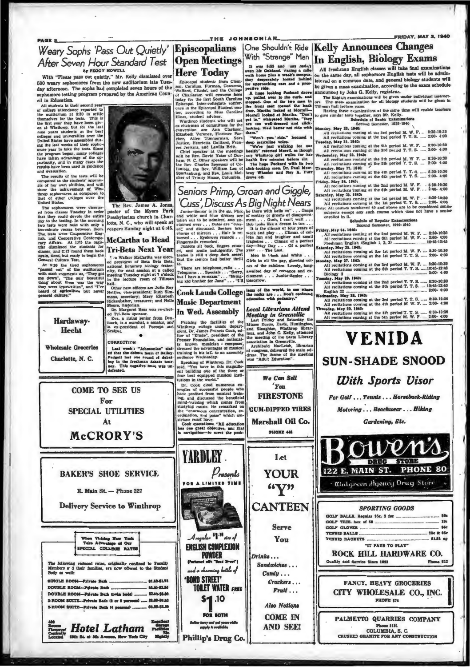Episcopalians Weary Sophs 'Pass Out Quietly' After Seven Hour Standard Test By PEGGY HOWELL

With "Please pass out quietly," Mr. Kelly dismissed over of the case was out queety, are near out to the Tuesday afternoon. The sophs had completed seven hours of the homore testing program prepared by the American Council in Education.

cil in Education.<br>
All students in their second year-<br>
All students in their second year-<br>
of college attendant all space of college attendant all space better<br>
the matrix year they have been given<br>
the last Vinhiton by t

ad evaluation.<br>The results of the tests will be<br>ampered to the students' appraisis of her own abilities, and will<br>now the achievement of What-<br>are proportions as compared to<br>the of other colleges over the<br>that of other col op sophome<br>it of other<br>ited States.

United States.<br>The apphonours were dismissioned from classes Tuesday in order<br>that they could devote be entire<br>day to the testing. In the morning<br>day to the testing. In the morning<br>two test were Couperative Eng.<br>The test w

eneral Culture Test.<br>At 8:30 the tried sophomores<br>hassed out" of the auditorium<br>high such comments as, "They got<br>be down", "The only beautiful<br>ing about them was the way<br>pay were typewritten", and "I've<br>eard of agriculture

Hardaway-

**Hecht** 

Charlotte, N. C.



pastor of the Myers Park Presbyterian church in Charlotte, N. C., who will speak at

# **McCartha to Head**

" a Walker McCartha was elected president of Beta Beta Beta, antional honorary biology frater-<br>nity, for next session at a called meeting Tuesday night at 7 o'clock<br>meeting Tuesday night at 7 o'clock<br>hall

hall, the new officers are Julia Ray<br>Neithe, vece-president; Ruth Sin-<br>Neithe, vece-president; Ruth Sin-<br>Neithe, vece-president, Thus Sin-<br>New Banker, treasurer; and Neile<br>Dr. Margaret Hess was re-elections<br>of Tri-Beta app

**ORRECTION Wholesale Groceries** 

**COME TO SEE US** 

For

**SPECIAL UTILITIES** 

At

McCRORY'S

E. Main St. - Phone 227

When Visiting New York<br>Take Advantage of Our<br>SPECIAL COLLEGE RATES

following reduced rates, originally confined to Facu<br>bers a d their familias, ara now offered to the Stude

Hotel Latham

th St. at 5th Avenue, New York City

The folk

Body as

**SINGLE ROOM-Privale Bath** 

DOUBLE ROOM-Private Bath ...

2-ROOM SUITE-Private Beth 14 pe

DOUBLE ROOM-Private Bath (twin beda) ..

2-ROOM SUITE-Private Bath (2 or 3 per

Last week s "Johnsonian" stat-<br>ed that the debate team of Bailey-<br>Padgett lost one round of debat-<br>lag in the freehman debate tour-<br>ney. This negative team was un-



The Rev. Jame **A.** Jon

# vespers Sunday night at 6:45.

**Tri-Beta Next Year** 

Cook Lauds College | the rocks are . . . Don't centous<br>Music Department | education with pedantry."

**Music Department** In Wed. Assembly

 $\bullet$ 

Praising the facilities of the metric of the Winth<br>representation of the metric Dr. James Francis Cook, editor of "Evade", president of<br>the reservation and the presence Francisco proposer. Francisco is the<br>presence functi udience Wedn  $\overline{\mathbf{s}}$ 

onence weanesday.<br>Speaking of Winthrop, Dr. Cook<br>id, "You have in this magnific-<br>t building one of the three or<br>pr best equipyed musical insti-<br>tions in the world."

utions in the world."<br>
Dr. Cook cited numerous ex-<br>
mples of successful people who<br>
new profited from musical train-<br>
neg, and discussed the beneficial<br>
nind-training which comes from the "enormous concentration"<br>
he "enor

Presents

Aragular \$1.18 des of **ENGLISH COMPLEXION** 

J with "Boad and a charming bottle of **TOILET WATER FREE**  $$1.10$ 

**Open Meetings** 

**Here Hodday** was hill oakland recinq a mill in the spin and the spin and the spin of the control in the College pertine means the control of the College pertine relation of the College pertine relation of the college per

**Local Librarians Attend** 

Meeting in Greenville<br>Last Friday and Saturday the Misses Dacus, Davis, Huntington

Misser Dacus, Davis, Huntungton, Hand Slaughter, Winthrop librarians, and John G. Kelly, stended<br>the meeting of the State Library<br>association in Greenville.<br>Archibald MacLeish, librarian

We Can Sell

'You

**FIRESTONE** 

Marshall Oil Co.

**PHONE 448** 

Let

**YOUR** 

 $\mathbf{w}$ 

**CANTEEN** 

**Serve** 

You

Sandwiches ...

 $Candy \ldots$ 

 $Crackers...$ 

Also Notions

**COME IN** 

**AND SEE!** 

Fruit...

Drinks...

of congress, delivered the dress. The theme of the was "Adult Education".

# One Shouldn't Ride | Kelly Announces Changes With "Strange" Men In English, Biology Exams

All freshman English classes will take final examinations<br>on the same day, all sophomore English tests will be administered on a common date, and general biology students will<br>be given a mass examination, according to the announced by John G. Kelly, registrar.

The English examinations will be given under individual instruct-<br>The mass examination for all biology students will be given in ors. Tille

man hall leeture room.<br>Having the room. at the same time will enable to

| to give similar tests together, says Mr. Kelly.                                 |
|---------------------------------------------------------------------------------|
| <b>Schedule of Senior Examinations</b>                                          |
| Second Semester, 1939-1940                                                      |
| Monday, May 20, 1940:                                                           |
| All recitations coming at the 3rd period M. W. P.  8:30-10:30                   |
| All recitations coming at the 2nd period T. T. S.  2:00- 4:00                   |
| Tuesday, May 21, 1940:                                                          |
| All recitations coming at the 4th period M. W. F.  8:30-10:30                   |
| All recits tons coming at the 3rd period T. T. S.  2:00- 4:00                   |
| Wednesday, May 22. 1940:                                                        |
| All recitations coming at the 5th period M. W F.  8:30-10:30                    |
| All recitations coming at the 5th period T. T. S.  2:00- 4:00                   |
| Thursday, May 21, 1940:                                                         |
| All recitations coming at the 4th period T. T. S.  8:30-10:30                   |
| All recitations coming at the 6th period T. T. S.  2:00- 4:00                   |
| Friday, May 24, 1940:                                                           |
| All recitations coming at the 2nd period M. W. F. . 8:30-10:30                  |
| All recitations coming at the 6th period M. W. F.  2:00- 4:00                   |
| Saturday, May 25, 1940:                                                         |
| vil recitations coming at the 1st period M. W. F 8:30-10:30                     |
| All recitations coming at the 1st period T. T. S.  2:00- 4:00                   |
| Note: All courses numbered 40 and above are to be considered senior             |
| subjects except any such course which does not have a senior<br>enrolled in it. |
| <b>Schedule of Regular Examinations</b>                                         |
| Second Semester, 1939-1940                                                      |
| Friday, May 24, 1940:                                                           |
| . All recitations coming at the 2nd period M. W. F.  8:30-10:30                 |
| All recitations coming at the 6th period M. W. F.  2:00- 4:00                   |
|                                                                                 |
| Saturday, May 25, 1940:                                                         |
| All recitations coming at the 1st period M. W. F.  8:30-10:30                   |
| All recitations coming at the 1st period T. T. S.  2:00- 4:00                   |
| Monday, May 27, 1943:                                                           |
| All recitations coming at the 3rd period M. W. F.  8:30-10:30                   |
| All recitations coming at the 6th period T. T. S. 10:45-13:45                   |
|                                                                                 |
| Tuesday, May 28, 1940;                                                          |
| All recitations coming at the 2nd period T. T. S.  8:30-10:30                   |

All recitations coming at the 4th period T. T. S. ...... 8:30-10:30<br>All recitations coming at the 5th period M. W. F. .. 2:00- 4:00



# **With Sports Visor**

For Golf ... Tennis ... Horseback-Riding

Motoring . . . Beachwear . . . Hiking

Gardening, Etc.



GOLF GLOVES **TENNIS BALLS** 25c & 35c **ENNIS RACKETS** 81.85 -"IT PAYS TO PLAY" ROCK HILL HARDWARE CO.

Quality and Service Since 1893

**FANCY, HEAVY GROCERIES** CITY WHOLESALE CO., INC. **PHONE 574** 

PALMETTO QUARRIES COMPANY Phone 5131 CRUSHED GRANITE FOR ANY CONSTRUCTION

icians must have.<br>Cook quotations: "All education<br>has one great objective, and that<br>a navigation-to meet the prob YARDLEY. **BAKER'S SHOE SERVICE** FOR A LIMITED TIME

**Delivery Service to Winthrop** 

81.40-\$1.78

82.00-82.50

\$3,80-\$3,80

84.00-64.00

**Min** 

....... \$3.88-\$3.50

. س

**POWDER** 

**BOND STREET'** FOR BOTH

lorry and get your<br>mode is mother

Phillip's Drug Co.

**GUM-DIPPED TIRES** 

sday.



# CUSS, DISCUSS AS DIGITAL INCRETE CUSS (ASS CHE AND TRIGGALISED AND an and white and hite that Pink he there with be there will be administrated in the search of the search of the search of the search of the search of the

Seniors Primp, Groan and Giggle,

'Cuss', Discuss As Big Night Nears

**Here Today** 

to. There are telephone, calls . . . ors of the rainbow. Lovely, long-<br>Telegrams . . . Specials . . . "Sorry, a walted day of romance and ex-<br>but I have a re-exam" . . . "Bring- cliement . . . Junior-Senior . . .<br>ing kid b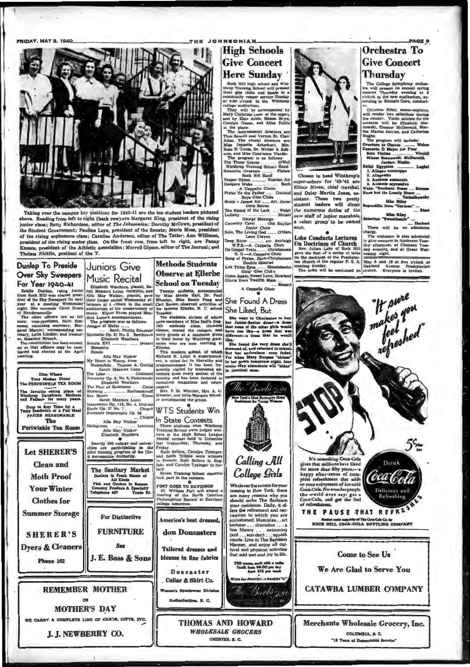**FRIDAY, MAY 3, 1940.** 



Taking over the campus key positions for 1940-11 are the ten student leaders pictured above. Reading from left to right (back row) are Margaret King, president of the rising above. Reading troni sett to raint (once row) are anargaret rang, pressuent or use ranning provided to successive present of the Student Government; Pauline Laye, president of the Student Government; Pauline Laye, presiden Kneece, president of the Athletic a Thelma Hicklin, praident of the Y.

Juniors Give

# **Dunlap To Preside Over Sky Sweepers** For Year 1940-41

For the Bullet Pullet property interests of the Skelle Dunlap, rising junior<br>from Rock Hill was elected presi-<br>dent of the Sky Sweepers for next<br>year at a meeting Wednesday<br>night. She succeeds Carol Green

mertury Wednesday<br>
of Hendersonville<br>
of Hendersonville<br>
The other officers are as fol-<br>
lows: vice-president, Ruth Sim-<br>
means, recording secretary, Mar-<br>
garet Martin; corresponding sec-<br>
retary, Lella Lindler; and treas

ed so that officers may be nom-<br>inated and elected at the April Rondo ting.

Dine Whe Your Mather Dined<br>The PERIWINKLE TEA ROOM favorlie esting place of<br>throp Daughters. Mothers<br>Fathers for many years Drop in Any Time for a<br>sty Sandwich or a Full Meal<br>PRICES REASONABLE The Periwinkle Tea Room **Let SHERER'S Clean and** Moth Proof **Your Winter Clothes** for **Summer Storage SHERER'S** Dyera & Cleaners

Phone 162

# Music Recital I ILISIC INCULATION IN STATISTIC THE TRIMATE STATE THE REAL MAN AND MAN USE THAT A REAL BURGIVE IN STATE OF SURFACE IN STATE ORIGINAL THE STATE OF THE POST OF LUMB AND THE POST ON THE POST ON THE POST ON THE POST ON THE PO Mennetto Op. 31 No. 3 ... Beeth<br>Elizabeth Weathers

Elizabe<br>- XVI ax  $M<sub>0</sub>$ 

Nondo<br>
Rondo<br>
My Heart is Weary, from<br>
My Heart is Weary, from<br>
Natechda - Themas A. Goring<br>
Sarah Meadors Lunn<br>
Dinamic Op. 9, No. 6, Paderewski<br>
Elizabeth Weathers<br>
The Paul of Quietness<br>
Mhorning<br>
Marman Cate<br>
San Mouri aninoff<br>Tyson ning<br>Moods<br>Sarah Mead Tyst<br>
Sarah Meadors Lunn<br>
nezzo Op. 116, No. 4, Brahn<br>
Op. 27 No. 7, Chop<br>
uie Impromptu Op. 66

Alle May Walker

 $L_{\text{C}}$ Alle May Walker

Elizabeth<br>Exactly 260 college and univer-<br>sites are participating in the<br>pilot training program of the Civ-<br>il Aeronautics Authority.

The Sanitary Market<br>
Deslers in Fresh Meats of<br>
Fish and Oystern in Beason<br>
Country Produce A Specially<br>
Telephone 407 Trade St.<br>
Telephone 407 Trade St.

**For Distinctive** 

**FURNITURE** 

 $S_{\theta\theta}$ J. E. Bass & Sons

**REMEMBER MOTHER** 

**MOTHER'S DAY** 

WE CARRY A COMPLETE LINE OF CARDS, GIFTS, ETC.

J. J. NEWBERRY CO.

# **Methods Students Observe at Ellerbe**

THE JOHNSONIAN

**High Schools** 

**Give Concert** 

**Here Sunday** 

**School on Tuesday** Concepts of a detection of the Microsophile<br>by Miss Maude Hail, Dr. Paul<br>Wheeler, Miss Bessie Pong and<br>Carl Brown observed activities of<br>the famous Ellerbe, N. C. school<br>Tuesday.

She Liked, But

Carl Brown observes activities of the Likedy, But<br>the famous Ellerbe, N. C. school She Likedy, But<br>Treaty, The students, sixten of whom She went to Charleston<br>The students, there is a studied based as the data girls in me papers.<br>Mrs. P. M. Whesler, Mrs. A. C.<br>Wheeler, and little Marquis Wheel-<br>er accompunied the group.  $\ddot{w}$ 

WTS Students Win

In State Contests Three students from Winthrop<br>Training School were judged win-<br>ners in the High School League<br>Mental contest held to Columbia<br>last Wednasday, Thursday, and

Friday. Friday, Gardyn Tysinger, Gardyn Tysinger, and Edith Tribble were winners in Prench; Ruth Sellers in Eng-<br>iin), and Carolyn Tysinger in Eng-<br>iin), and Carolyn Tysinger in his-<br>tory.<br>Seven Training School students<br> $60.64$  p

FORT GOES TO DAVIDSON<br>Dr. William Fort will attend<br>meeting of the North Caroli<br>Philosophical Society at Davids America's best dressed. don Doncasters

**Tailored** dresses and blouses in fine fabrics

Doncaster Collar & Shirt Co. rfordion, N. C.

w York's Most Excl

Calling All College Girls

Whatever the reason for your<br>coming to New York, there are many reason why you residence. Daily, it do<br>should make The Barbiaon for the should make The Barbiaon for the real<br>form the relinement and recrease accustomed. Mus

that add zest and joy to life.  $\begin{array}{c} \textbf{700 room, each with a radii} \\ \textbf{Tails, from $32.50$ per day} \\ \textbf{from $313$ per work} \end{array}$ 

riot.ch Barbizon

**THOMAS AND HOWARD WHOLESALE GROCERS** CHESTER, S. C.



Solomy Henry Crayer, Burleigh<br>Deep River 2, Capella Choir<br>De Gospel Train Christianen<br>Song of Praise, Burleigh<br>Song of Praise, Bach-Christiansen<br>Diff Thine Eyes<br>Medical Christianen<br>Come Agein, Sweet Love, Dowland<br>Gloria fr

A Cappella Choir<br>
Mozar

Reck Hill high school and Win-<br>throp Training School will present their gies clubs and bands in a<br>community vesper service Sunday<br>at 4:30 o'clock in the Winthrop<br>calleng auditorium. community vesper service Studies<br>
of 4430 o'clock in the Winthrop Studies<br>
collides audiorium.<br>
They will be accompanied by<br>
Mary Christine Louss at the organ,<br>
They will be accompanied directors are<br>
and by Elsis Allen, M

super-ushers for '40-'41 are<br>Elinor Niven, chief marshal, a relect group to be named

> **Lake Conducts Lectures** On Doctrines of Church<br>Rev. Julian Lake of Rock Hill<br>gave the first of a series of talks<br>on the doctrines of the Presbytergave the first of a series of tanks increase  $n_{\text{L}}$  in the decirious of the Presbyter-<br>in thurch at the regular P. S. A. May 5 and 19 at five o'clock at<br>meeting Sunday.  $\alpha$ . Nay 5 and 19 at Avenue Presbyterian<br>meeting

Drink

(oca Cold

# **PAGE 3** Orchestra To **Give Concert** Thursday

The College Symphony orchestra will present its annual spring concert Thursday evening a t $8$  o'cleck in the new audilorium, according to Emmett Gore, conduction,

or.<br>Christine Riley, mezzo-soprano,<br>will render two selections during<br>the concert. Violin soloista for the<br>occasion will be Elizabeth Sou-<br>nowski, Eleanor McDermid, Mar-<br>thurba.<br>Hurba.

m. Tschaik...<br>Miss Riley<br>from "Carmen"

There will be no admi

There will be no annualized<br>charge.<br>The orchestra is size scheduled<br>to give concerts in Anderron Tues-<br>day evening, and at Green Wed-<br>nesday night.

# **Sequedilla** from Miss Riley<br>Rweethearis"



It's something Coca-Cola<br>gives that millions have liked<br>for more than fifty years,—a<br>happy effec-sense of com-<br>plete refreshment that adds<br>to your enjoyment of ice-cold<br>Coca-Cola. No wonder prople the world over say: get a<br>Coca-Cola, and get the feel

THE PAUSE THAT REFRES **Real and methods of The Con-Cala Co. by<br>ROCK HULL COCA-COLA ROTTLING COMPANY** 

**Come to See Us** 

We Are Glad to Serve You

**CATAWBA LUMBER COMPANY** 

Merchants Wholesale Grocery, Inc. COLUMBIA, S. C. "19 Years of Dependable Servi

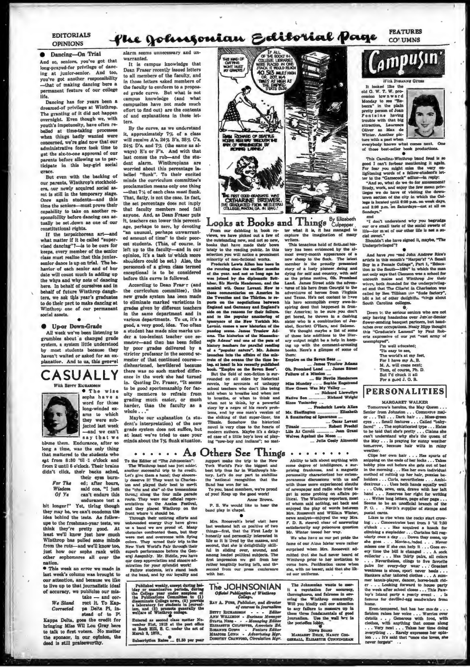### EDITORIALS **OPINIONS**

### **•** Dancing-On Trial

And so, seniors, you've got that long-prayed-for privilege of daocing at junior-senior. And too, you've got nnother responsibility -that of making dancing here a permanent feature of our college life.

Dancing has for years been a dreamed-of privilege at Winthrop. The granting of it did not happen ight. Even though we, with youth's impetuosity, have often rebelied at time-taking processes when things badly wanted were concerned, we're glad now that our administrative force look time to wet the six-to-one approval or our purents bcl'ore allowing us to participate in this boy-girl social

grace.<br>But even with the backing of our parents, Winthrop's stockho ers, our newly acquired social as-<br>met is still in the temporary stage. Once again students-and this time the seniors-must prove their capability to take on another rensibility before dancing can actually be set.down as one of our constitutional rights.

If the terpsichorean art-and matter if it be called "supervised dancing"?--is to be ours for keeps, every member of the senior must realize that this juniorsenior dance is up on trial. The havior of each senior and of her<br>date will count much in adding up the whys and why nots of danch here. In behalf of ouraelves and in behalf of future Winthrop danghters, we ask this year's graduates to do their psrt to make dancing at Winthrop one of our permanent social assets.

# • **e Up-or Down-Grade**

All week we've been listening to grumbles about a changed grad system, a system little understood by most students because they haven't waited or asked for an explanation. And to us, this general

**CASUALLY** 



**\*** The wise word for those long.winded ex• arns to which they were subjected last week

say that we blame them. Endurance, after so long a time, was the only thing<br>that mattered to the students who apt from 8:30 'til 1 o'clock and from 2 until 6 o'clock. Their brains didn't click, their backs ached,

**For The** *Wi.,dom*  Of Ye their eyes burn-ed ; after hours, said one, "I just can't endure this

endurance test. a bit longer!" Yet, tiring though they may be, we can't con idea behind the tests. As follow.

upe to the freshman-year tests, we think they're pretty good. At least we'll know just how much Winthrop has pulled some minds from the ruts-and we'll know too. just how our sophs rank with other sophomores all over the nation.

• Thia week an error we made in last. week's column was brought. to our attention, and because we like to live up to that journallstie ideal of accuracy, we publicize our mis $take = and$   $enc$ 

*W• Stand* rcct it. To Kap-Corrected pa Delta Pi, in-<br>stead of to Pi

Kappa Delta, goes the credit for<br>bringing Miss Wil Lou Gray here<br>to talk to first voters. No matter the sponsor, in our opinion, the deed is still praiseworthy.

alarm seems unnecessary and un-

warranted. It is campus knowledge that Dean Fraser recently issued letters to all members of the faculty, and in those letters saked members of the faculty to conform to a proposed grade curve. But what is not campus knowledge (and what compusites have not made much effort to find out) are the contents of and explanations in these letters.

By the curve, as we understand it. approximately 7% of a class will receive A 's, 24% B's, 38% C's,  $24\%$  D's, and  $7\%$  (the same as always) E's or F's. And with that last comes the rub—and the stu-<br>dent alarm. Winthropians are worried about this percentage la-<br>belled "flunk". To their excited<br>minds the curriculum committee's proclamation means only one thing -that 7% of each class *must* flunk. That, flatly, is not the case. In fact, the set percentage does not in:ply that faculty members need fail anyone. And, as Dean Fraser puts it, teachers can lower this percentage, perhaps to zerc, by devoting "an unusual. perhaps unwarranted amount of time" to their poorest students. (This, of course. is left up to the faculty—and in our<br>opinion, it's a task to which more<br>shoulders could be set.) Also, the personneh of a given class termed exceptional is to be considered

before this curve is followed. According to Dean Francy (a the curriculum committee), this new grade system has been made to eliminate marked variations in grades given by different teachers in the same department and in<br>various departments. To us, it's a various departments. To os. it'a a good, a very good, idea. Too often a student has made nice marks un-<br>der a too-lenient teacher one seand then has been felled by poor grades delivered by a stricter professor in the second semester of that continued coursedisheartened, bewildered because there was no such marked difference in the work she had turned Quoting Dr. Fraser, "It seems to be good sportsmanship for faculty members to refrain from<br>grading much easier, or much

harder, than the faculty as a whole . . ." Maybe our explanation (a student's interpretation) of the new grade system does not suffice, but

at least we've tried to case your minds about the 7% flunk situation.

• • • • • As Others See Things • • • • • • • • • • • • • • • • The Winhmop band has just addet. York World's Pair the biggest and some degree of intelligence, a sur-<br>another successful trip to its Children content and a ma The Winihrop band has just addet. York World's Fair the biggest and some degree of intelligence, a sur-<br>another successful trip to its credit. best trip thus far in Winihrop's his- prising frankness, and a magnetic<br>Let's g ly deserve iii They went to Charles-<br>the 'antional recognition that the poraneous discussions with us and<br>for and played their best to meril Sand has won for us.<br>the "chs and aha" of the tremendous<br>the "chs and aha" of the

vere met and overcome with hynne life as it<br>colors. They wrned their trip to the life as it

of the' b•nd, and by ou:;· loyaUty and wilh her. NI ou r uniforms. ..

Published weekly, except during heliday or examination periods, during<br>the College year under asspions of the Pollege year under asspions of<br>disseminate College news, (2) provided<br>disseminate College news, (2) provided<br>inn

welfare of Winthrop college.<br>Entered as second class matter November 21st, 1923 at the port office<br>at Reck Hill, S. C. under the act of<br>March 3, 1879.

marco o, 1019., etc., and filled per year.



the Twenties and the Thirlies. Io re- and Texas. Néw not content to have ports on the negotiations between his hero ecomplish every ave-in-<br>England and Germany and Zesgland's spiring decid that happened in from<br>also on th of a "popular nature", Mr. Adams books. Here's a glimpse of some of<br>launches into the affairs of the mis- them: trets of the oceans ifor the time be- Empire on the Seven Seas .... ing, at lebatl in his recently published ....... James Truslow Adams.<br>book. "Empire on the Seven Seas". Oh, Promised Land ...... James Street

But the field of non-fiction is sur- Fallure of a Mission .... rounded on all sldts by hlltorlcal ·-· 11.J' NeTlle 8-adenoa novels, by accounts of unhappy Miss Munday ..... Sophia Engatrand school teachers who don't like being How Green Was My Valley .... when not to think, by a powerful Since Yesterday ... story by a negro of his race's prob- .... **Fredarick Lewis Allen**<br>lems, and by one man's version of Mr. Skeffington ..................... Elisabath the sinking or that super-liner, the A Small•rin9 of li,nonnce ·-· modern authors. Maybe it's a delay- Life At Carolà ············... Jean Grant<br>ed case of a little boy's love of play- Wolves Agahust the Moon ...<br>ing "cow-boy and indians"; no mat-

**nd Thing's** Sy Elizabeth<br>ter what it is, it has managed to<br>explure the imagination of many<br>writers.<br>This tenaclous hold of fictional histhe outstanding new, and not so new, writers.<br>books that have made their bows This tenacious hold of fictional his-

lately to the reading public. In this tory has been evidenced by the alterior selection you will notice a prominent most every-month superstance of a minority of non-fictional works. Here also then the first intervalse in munical wit. Occar Levant. Now to - tures of his hero from Georgis to the these commentaries on America in adventures of heroes from Virginia the Tweet in a set of the Vlare from Virginia and the Tairdies, to re- and Texas

told when to breathe and when not .... Richard Llawallyn to breathe, or when to think and Native Son .............. Richard Wright

Titanic. Somehow the historical .... Oscar Levant .... . Oscar Levant

and they placed Winthrop on the band play in chapel. The words between the chapel of the play of words between<br>front where it should be. ...<br>Iten kirs. Roossvelt and William Winter, Through their untiring efforts and **Fig. 1 and 1998** mews analyst.-enjoyed the way Mrs.<br>unbounded energy they have given Min. Roosevelt's brief visit here F. D. R. steered elear of answering

t is lived by the masses, and<br>that she is delightfully skill. fame of our Atna Mater were rather superb performance before the Gen- iul in sikiing over, around, and surprised when Mrs. Roosevelt ad-<br>eral Amembly. Mr. Biddle, you have iunong loaded political subjects. The imitted that she bad never heard of qur deep appreciation and sincere ad-<br>miration for your splendid work! rather lengthily boring lafk, and the come here. Pacification came when Feuorance possibles assumes the winding prior to her invitation to tengthily boring laB, and the come here. Parification canno when if tengthily boring laB, and the come here. Parification canno when if the Uk·<br>of the Uk·

The Johnsonian wants to matrice in<br>the a reputation for accuracy, there<br>our certains and fairmens in order with the Winthrop community.<br>Will you kindly call our attention to meet a measure up in<br>these three fundamentals of

# es lobby.<br>Naws Boans

MARGARIT BUCK, NANCY COO-



Monday to see "Re-<br>becca" in the plain pretty person of Joan<br>Fontaine having<br>trouble with that big attraction, Laurence<br>Oliver as Max de<br>Winter. Another plc-



lure with a past when • everybody. knows what eomn next. One o those bnt•.eller book producUom.

This Carolina-Winthrop band fe

good 1 can't forbear mentioning it again.<br>To Fer fear you might miss the very entightening words of a fallow-student<br>interior in the "Camescock" editor-the reply:<br>"And so, what do we do for summement?<br>"And so, what do we

smd<br>"I don't understand why you begrudge our ore small taste of the social sweets of<br>life-tor m at of our other life is not a so-

clat sweet.''<br>' Shouldn't she have signed it, maybe, ''The<br>Underprivileged''?

Underprivileges Theory of the Andrew Rice's<br>
And have you read John Andrew Rice's<br>
Boy in a Female College", Part 1, "Education in the South-1894" in which the man<br>
not only says that Clemson was a school for<br>
not only say ed and that The Clintel in Charleston was<br>called by Ben TiUlnan ine "dude factory",<br>both n lot other dedaht(w <sup>0</sup>hings about<br>South Carolina colleges.<br>Down t,; the serious senlors who are not

only having handaches over Jun'ar-Semior<br>flower-sending banquet partners, but hand-<br>nehes over occupations. Nealy Eign thought<br>this "Graduate's Lament" by Paul Rob-<br>erts expressive of our yet "vast army of<br>unemployed".

I'm well educated;<br>Tis easy to see,<br>The world's at my feet,<br>For 1 have my A, B.<br>M. A. will come next;<br>Then, of course, Ph. D.

But l"d chuck It all For a good J. O. B.

# **PERSONALITIES**

MARCARET WALKER

Tomorrow's heroine, the May Queen  $\ldots$ <br>Senior from Johnston  $\ldots$  Commerce maj-<br>or  $\ldots$  Tall , . . Dark hair , . . Moss-green eyes . . . Small features . . . Called "baby-<br>faced" . . The sophisticated type . . . Hafen<br>to be told that she's pretty . . . Claims she<br>can't understand why she's the queen of<br>the May . . . Is praying for suary weather<br>t

weather....Thas spuris of Clips her own hair ....Thas spuris of subseque on the ends of her leeds...Thas<br>bobby plus out before she gets out of best ln the morning ...Thas her own individual<br>in the morning ...Thas her own i p. O. . . N<br>motal cards.

Likes to rise when the cock: start crow-<br>ing ... Concentrates best from 5 'til 7:30<br>o'clock . .. Has acquired a lanack for<br>climbing a stepladder ... Curtains fall regxincing someone and the same set of the goal of the goal of the same state of the same state of the same state of the same state of the ball is changed ... A sole scale<br>control of the same state of the same scale of the s

home.<br>
Even-tempered, but has her modu...<br>
Seldom raises her voice ... Worries over<br>
details.... Generous with food, with<br>
clothes, with anything that comes along<br>
... Very rest ... Takes her three doing<br>
xverything ... R

us a band we are proud of. Many hast weekend left us positive of two entirfactorily any poisonous quastion<br>obstacles confronted tham, but they things—first, that the First Lady is Mr. Winter tossed her way.<br>were met and ov

### The JOHNSONIAN *Official Publication of Winth*

RAT A. Fuun, *Publisher*, and director<br>of courses in journalism BETT RICHARDEON - - Editor Hardway<br>ANN WILLIMON - Business Movement<br>SYLVIA NEMS - - - Managing Editor<br>ELUAANTH CULFETTE, Associat Ed.<br>MAMON CULFET - Fedires Editor<br>MEMON - Advertising Mgr.<br>DOMOTHY CRAWYOND, Circulation Mgr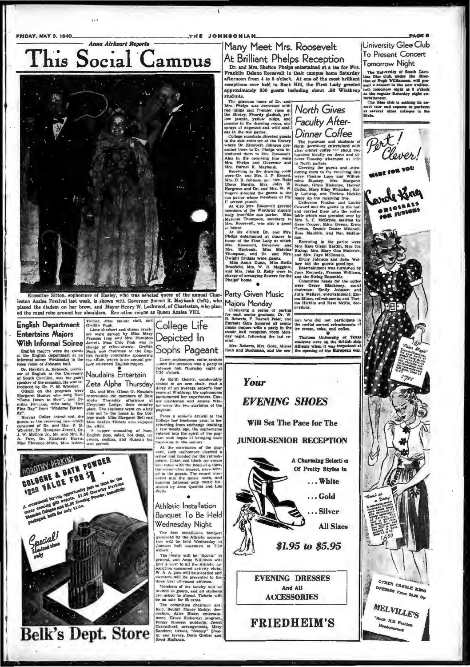**FRIDAY, MAY 3, 1940.** 

# Anna Airheart Reports This Social Campus



seting Sitte more of Easley, who was selected queen of the annual Char- $E_{21}$ leston Azalea Festival last week, is shown with Governor Burnet R. Maybank (left), who dem on her brow, and Mayor Henry W. Lockwood, of Charleston, who placthe dia ed the regal robe around her shoulders. Ere stine reigns as Queen Azalea VIII.

**COLOGNE & BATH POWDER** 

**Ingles and all of 200**<br>The state events - \$1.00 Dorechy Period<br>Ing state events - Duning Powder, beautiful project of the state of the state of the state

UULUUNE & UNIOR ST

English Department<br>
English Repartment<br>
English Repartment<br>
English Repartment<br>
Contribute Serbert and cheese creek-<br>
Entertains Majors<br>
With Informal Soirce Parte are the state of Mass Marie Marine<br>
Maria Magnetic Parte a

informal source we<br>alone the the safety within the the same room of Johnson hall. The term<br>of Scheck profession control of the Direction of the Direct steeded English majors.<br>
Development of Equation A. Babeck, profession

College Life Depicted In Sophs Pageant

Came sophomores, came seniors<br>-- and the occasion was a party in<br>Johnson hall Thursday night at<br> $7:30$  o'clock.

7:30 o'clock.<br>
As Edith Gentry, comforably<br>
setted in an arm chain, read a<br>
dury of an average senior's four<br>
years at Winthrop, the sophomores<br>
paratomined her experiences.<br>
One Castleman and Jeanne Win-<br>
castleman and Je

# Athletic Installation Banquet To Be Held **Wednesday Night**

We CUI-BSOUTY IVED to the Athletic association of the Athletic association and the Media Wednesday in<br>the main of the Athletic association of the Athletic association<br>of the main of the Sports. The theory of the Sports of

# THE JOHNSONIAN Many Meet Mrs. Roosevelt

At Brilliant Phelps Reception Dr. and Mrs. Shelton Phelps entertained at a tea for Mrs. r rankin Deiano Kocsevelt in their campus nome Saturday<br>afternoon from 4 to 5 o'clock. At one of the most brilliant<br>recoptions ever held in Rock Hill, the First Lady greeted<br>approximately 500 guests including about .60 Win receptions ever neig in Kock Hill, the First Lad<br>annroximately KOO guests including about. .KO spproxin<br>students.

reception ever held in Rock Hill, the First Lady greeted is<br>approximately 500 groents including about .60 Winthrop is<br>students. Somewhere the students of the measurement with the measurement with the internal measurement

Climaxing a series of parties<br>or each senior graduate, Dr. W.<br>S. Roberts, F. Darrell Peter, and<br>three there honored all senior<br>three three honored all senior<br>numer samples with a party in the<br>numer hall reception room Mon-

iors who did not participate in the receital served refrashments of<br>the receital served refrashments of<br> $\bullet$ <br>Thirteen University of Texas<br>students were on the British ship<br>Altenia when it was torpedoed at<br>Altenia when it ital.<br>Mrs. Roberts, Mrs. Gore, Misses Atheni<br>Joth and Buchanan, and the sen-the on

# Your

# **EVENING SHOES**

Will Set The Pace for The

# **JUNIOR-SENIOR RECEPTION**



**FRIEDHEIM'S** 

Liniversity Glee Club To Present Concert Tomorrow Night

1 Officerorum VIC (1915)<br>
The University of Bostin Carolines Given the direction of Nyah Williamson, will pre-<br>
ities dies club. under the direction<br>
sent a concert is the paw euclipsement and a concert is the paw euclitor



Belk's Dept. Store and the Contract of the Contract of the Second Second Second Second Second Second Second Second Second Second Second Second Second Second Second Second Second Second Second Second Second Second Second Se

er were the two starteness of the page of pageant.<br>
From a senior's arrivan at the<br>
Follogie har freshman year, to ther<br>
redurring from exchange teaching<br>
reduction a lew weeks ago, the sophomeres<br>
reant with happes of bri